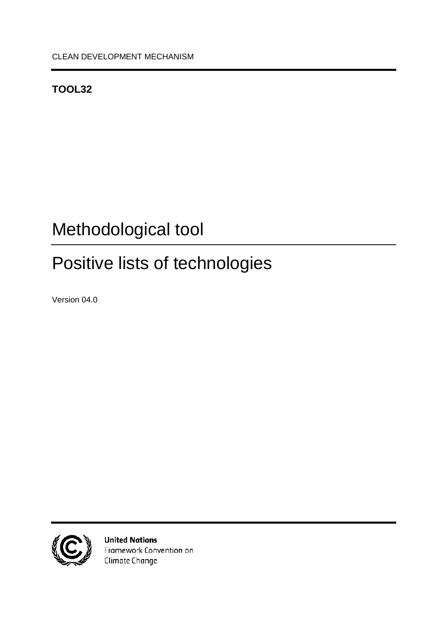# <span id="page-0-0"></span>**TOOL32**

# <span id="page-0-1"></span>Methodological tool

# <span id="page-0-2"></span>Positive lists of technologies

<span id="page-0-4"></span><span id="page-0-3"></span>Version 04.0



**United Nations** Framework Convention on Climate Change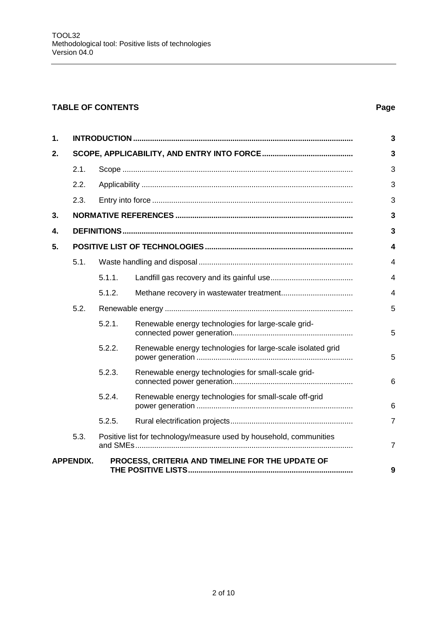### **TABLE OF CONTENTS Page**

| 1. |                                                                      |                                                                     |                                                             |                |  |  |
|----|----------------------------------------------------------------------|---------------------------------------------------------------------|-------------------------------------------------------------|----------------|--|--|
| 2. |                                                                      |                                                                     |                                                             | $\overline{3}$ |  |  |
|    | 2.1.                                                                 |                                                                     |                                                             | 3              |  |  |
|    | 2.2.                                                                 |                                                                     |                                                             | 3              |  |  |
|    | 2.3.                                                                 |                                                                     |                                                             | 3              |  |  |
| 3. |                                                                      |                                                                     |                                                             |                |  |  |
| 4. |                                                                      | 3                                                                   |                                                             |                |  |  |
| 5. |                                                                      |                                                                     |                                                             |                |  |  |
|    | 5.1.                                                                 |                                                                     |                                                             | $\overline{4}$ |  |  |
|    |                                                                      | 5.1.1.                                                              |                                                             | $\overline{4}$ |  |  |
|    |                                                                      | 5.1.2.                                                              |                                                             | $\overline{4}$ |  |  |
|    | 5.2.                                                                 |                                                                     |                                                             |                |  |  |
|    |                                                                      | 5.2.1.                                                              | Renewable energy technologies for large-scale grid-         | 5              |  |  |
|    |                                                                      | 5.2.2.                                                              | Renewable energy technologies for large-scale isolated grid | 5              |  |  |
|    |                                                                      | 5.2.3.                                                              | Renewable energy technologies for small-scale grid-         | 6              |  |  |
|    |                                                                      | 5.2.4.                                                              | Renewable energy technologies for small-scale off-grid      | 6              |  |  |
|    |                                                                      | 5.2.5.                                                              |                                                             | $\overline{7}$ |  |  |
|    | 5.3.                                                                 | Positive list for technology/measure used by household, communities |                                                             | $\overline{7}$ |  |  |
|    | PROCESS, CRITERIA AND TIMELINE FOR THE UPDATE OF<br><b>APPENDIX.</b> |                                                                     |                                                             |                |  |  |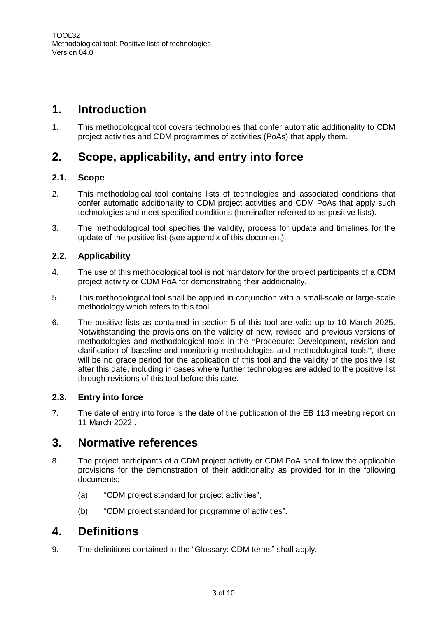# <span id="page-2-0"></span>**1. Introduction**

1. This methodological tool covers technologies that confer automatic additionality to CDM project activities and CDM programmes of activities (PoAs) that apply them.

# <span id="page-2-1"></span>**2. Scope, applicability, and entry into force**

#### <span id="page-2-2"></span>**2.1. Scope**

- 2. This methodological tool contains lists of technologies and associated conditions that confer automatic additionality to CDM project activities and CDM PoAs that apply such technologies and meet specified conditions (hereinafter referred to as positive lists).
- 3. The methodological tool specifies the validity, process for update and timelines for the update of the positive list (see appendix of this document).

#### <span id="page-2-3"></span>**2.2. Applicability**

- 4. The use of this methodological tool is not mandatory for the project participants of a CDM project activity or CDM PoA for demonstrating their additionality.
- 5. This methodological tool shall be applied in conjunction with a small-scale or large-scale methodology which refers to this tool.
- 6. The positive lists as contained in section 5 of this tool are valid up to 10 March 2025. Notwithstanding the provisions on the validity of new, revised and previous versions of methodologies and methodological tools in the "Procedure: Development, revision and clarification of baseline and monitoring methodologies and methodological tools", there will be no grace period for the application of this tool and the validity of the positive list after this date, including in cases where further technologies are added to the positive list through revisions of this tool before this date.

#### <span id="page-2-4"></span>**2.3. Entry into force**

7. The date of entry into force is the date of the publication of the EB 113 meeting report on 11 March 2022 .

## <span id="page-2-5"></span>**3. Normative references**

- 8. The project participants of a CDM project activity or CDM PoA shall follow the applicable provisions for the demonstration of their additionality as provided for in the following documents:
	- (a) "CDM project standard for project activities";
	- (b) "CDM project standard for programme of activities".

## <span id="page-2-6"></span>**4. Definitions**

9. The definitions contained in the "Glossary: CDM terms" shall apply.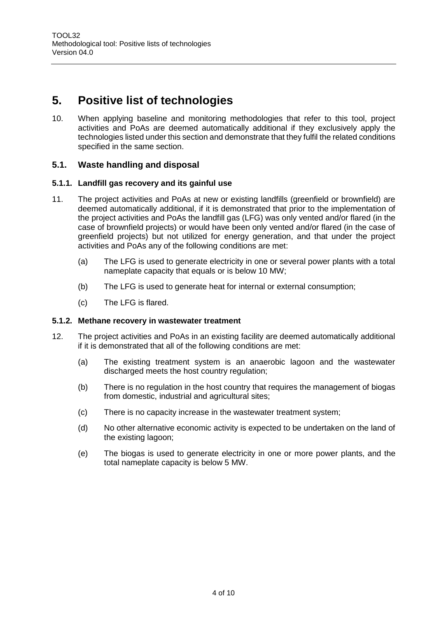# <span id="page-3-4"></span><span id="page-3-0"></span>**5. Positive list of technologies**

10. When applying baseline and monitoring methodologies that refer to this tool, project activities and PoAs are deemed automatically additional if they exclusively apply the technologies listed under this section and demonstrate that they fulfil the related conditions specified in the same section.

#### <span id="page-3-1"></span>**5.1. Waste handling and disposal**

#### <span id="page-3-2"></span>**5.1.1. Landfill gas recovery and its gainful use**

- 11. The project activities and PoAs at new or existing landfills (greenfield or brownfield) are deemed automatically additional, if it is demonstrated that prior to the implementation of the project activities and PoAs the landfill gas (LFG) was only vented and/or flared (in the case of brownfield projects) or would have been only vented and/or flared (in the case of greenfield projects) but not utilized for energy generation, and that under the project activities and PoAs any of the following conditions are met:
	- (a) The LFG is used to generate electricity in one or several power plants with a total nameplate capacity that equals or is below 10 MW;
	- (b) The LFG is used to generate heat for internal or external consumption;
	- (c) The LFG is flared.

#### <span id="page-3-3"></span>**5.1.2. Methane recovery in wastewater treatment**

- 12. The project activities and PoAs in an existing facility are deemed automatically additional if it is demonstrated that all of the following conditions are met:
	- (a) The existing treatment system is an anaerobic lagoon and the wastewater discharged meets the host country regulation;
	- (b) There is no regulation in the host country that requires the management of biogas from domestic, industrial and agricultural sites;
	- (c) There is no capacity increase in the wastewater treatment system;
	- (d) No other alternative economic activity is expected to be undertaken on the land of the existing lagoon;
	- (e) The biogas is used to generate electricity in one or more power plants, and the total nameplate capacity is below 5 MW.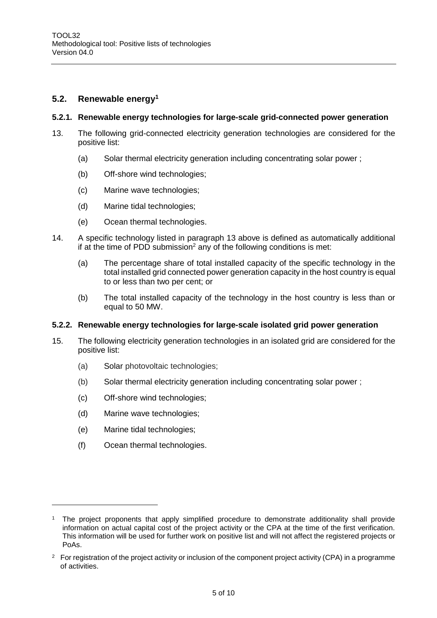#### **5.2. Renewable energy<sup>1</sup>**

#### <span id="page-4-0"></span>**5.2.1. Renewable energy technologies for large-scale grid-connected power generation**

- <span id="page-4-2"></span>13. The following grid-connected electricity generation technologies are considered for the positive list:
	- (a) Solar thermal electricity generation including concentrating solar power ;
	- (b) Off-shore wind technologies;
	- (c) Marine wave technologies;
	- (d) Marine tidal technologies;
	- (e) Ocean thermal technologies.
- 14. A specific technology listed in paragraph [13 above](#page-4-2) is defined as automatically additional if at the time of PDD submission<sup>2</sup> any of the following conditions is met:
	- (a) The percentage share of total installed capacity of the specific technology in the total installed grid connected power generation capacity in the host country is equal to or less than two per cent; or
	- (b) The total installed capacity of the technology in the host country is less than or equal to 50 MW.

#### <span id="page-4-1"></span>**5.2.2. Renewable energy technologies for large-scale isolated grid power generation**

- <span id="page-4-3"></span>15. The following electricity generation technologies in an isolated grid are considered for the positive list:
	- (a) Solar photovoltaic technologies;
	- (b) Solar thermal electricity generation including concentrating solar power ;
	- (c) Off-shore wind technologies;
	- (d) Marine wave technologies;
	- (e) Marine tidal technologies;

(f) Ocean thermal technologies.

<sup>1</sup> The project proponents that apply simplified procedure to demonstrate additionality shall provide information on actual capital cost of the project activity or the CPA at the time of the first verification. This information will be used for further work on positive list and will not affect the registered projects or PoAs.

<sup>&</sup>lt;sup>2</sup> For registration of the project activity or inclusion of the component project activity (CPA) in a programme of activities.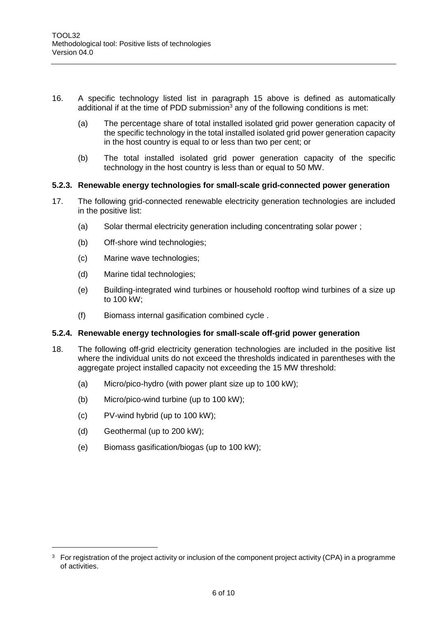- 16. A specific technology listed list in paragraph [15 above](#page-4-3) is defined as automatically additional if at the time of PDD submission<sup>3</sup> any of the following conditions is met:
	- (a) The percentage share of total installed isolated grid power generation capacity of the specific technology in the total installed isolated grid power generation capacity in the host country is equal to or less than two per cent; or
	- (b) The total installed isolated grid power generation capacity of the specific technology in the host country is less than or equal to 50 MW.

#### <span id="page-5-0"></span>**5.2.3. Renewable energy technologies for small-scale grid-connected power generation**

- 17. The following grid-connected renewable electricity generation technologies are included in the positive list:
	- (a) Solar thermal electricity generation including concentrating solar power ;
	- (b) Off-shore wind technologies;
	- (c) Marine wave technologies;
	- (d) Marine tidal technologies;
	- (e) Building-integrated wind turbines or household rooftop wind turbines of a size up to 100 kW;
	- (f) Biomass internal gasification combined cycle .

#### <span id="page-5-1"></span>**5.2.4. Renewable energy technologies for small-scale off-grid power generation**

- 18. The following off-grid electricity generation technologies are included in the positive list where the individual units do not exceed the thresholds indicated in parentheses with the aggregate project installed capacity not exceeding the 15 MW threshold:
	- (a) Micro/pico-hydro (with power plant size up to 100 kW);
	- (b) Micro/pico-wind turbine (up to 100 kW);
	- (c) PV-wind hybrid (up to 100 kW);
	- (d) Geothermal (up to 200 kW);

 $\overline{a}$ 

(e) Biomass gasification/biogas (up to 100 kW);

<sup>&</sup>lt;sup>3</sup> For registration of the project activity or inclusion of the component project activity (CPA) in a programme of activities.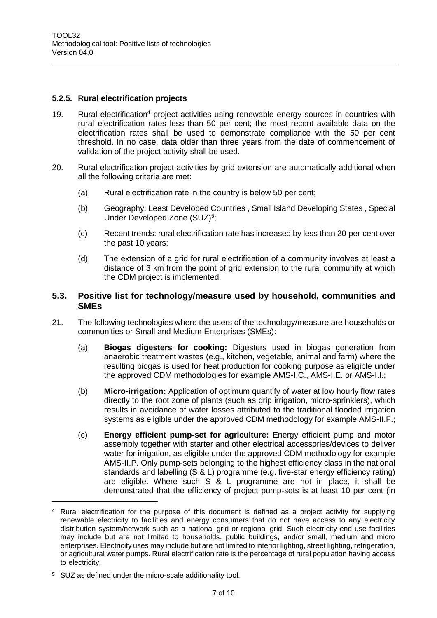#### <span id="page-6-0"></span>**5.2.5. Rural electrification projects**

- 19. Rural electrification<sup>4</sup> project activities using renewable energy sources in countries with rural electrification rates less than 50 per cent; the most recent available data on the electrification rates shall be used to demonstrate compliance with the 50 per cent threshold. In no case, data older than three years from the date of commencement of validation of the project activity shall be used.
- 20. Rural electrification project activities by grid extension are automatically additional when all the following criteria are met:
	- (a) Rural electrification rate in the country is below 50 per cent;
	- (b) Geography: Least Developed Countries , Small Island Developing States , Special Under Developed Zone (SUZ)<sup>5</sup>;
	- (c) Recent trends: rural electrification rate has increased by less than 20 per cent over the past 10 years;
	- (d) The extension of a grid for rural electrification of a community involves at least a distance of 3 km from the point of grid extension to the rural community at which the CDM project is implemented.

#### <span id="page-6-1"></span>**5.3. Positive list for technology/measure used by household, communities and SMEs**

- 21. The following technologies where the users of the technology/measure are households or communities or Small and Medium Enterprises (SMEs):
	- (a) **Biogas digesters for cooking:** Digesters used in biogas generation from anaerobic treatment wastes (e.g., kitchen, vegetable, animal and farm) where the resulting biogas is used for heat production for cooking purpose as eligible under the approved CDM methodologies for example AMS-I.C., AMS-I.E. or AMS-I.I.;
	- (b) **Micro-irrigation:** Application of optimum quantify of water at low hourly flow rates directly to the root zone of plants (such as drip irrigation, micro-sprinklers), which results in avoidance of water losses attributed to the traditional flooded irrigation systems as eligible under the approved CDM methodology for example AMS-II.F.;
	- (c) **Energy efficient pump-set for agriculture:** Energy efficient pump and motor assembly together with starter and other electrical accessories/devices to deliver water for irrigation, as eligible under the approved CDM methodology for example AMS-II.P. Only pump-sets belonging to the highest efficiency class in the national standards and labelling (S & L) programme (e.g. five-star energy efficiency rating) are eligible. Where such S & L programme are not in place, it shall be demonstrated that the efficiency of project pump-sets is at least 10 per cent (in

 $\overline{a}$ 

<sup>4</sup> Rural electrification for the purpose of this document is defined as a project activity for supplying renewable electricity to facilities and energy consumers that do not have access to any electricity distribution system/network such as a national grid or regional grid. Such electricity end-use facilities may include but are not limited to households, public buildings, and/or small, medium and micro enterprises. Electricity uses may include but are not limited to interior lighting, street lighting, refrigeration, or agricultural water pumps. Rural electrification rate is the percentage of rural population having access to electricity.

<sup>5</sup> SUZ as defined under the micro-scale additionality tool.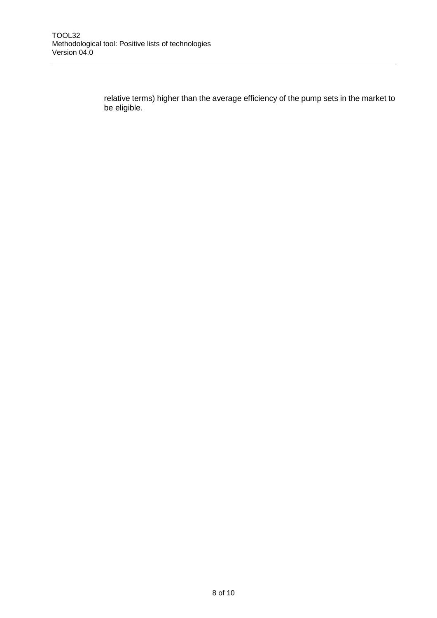relative terms) higher than the average efficiency of the pump sets in the market to be eligible.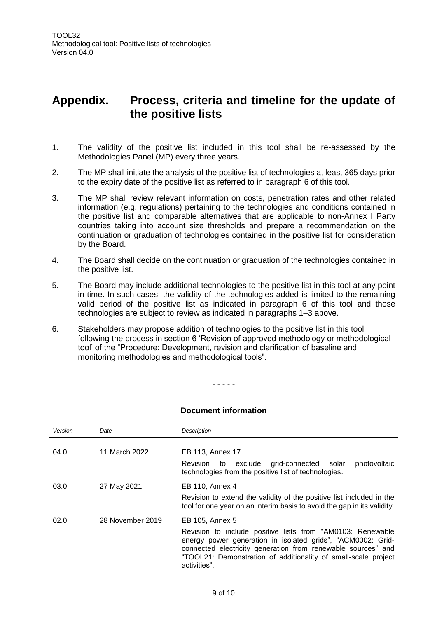# <span id="page-8-0"></span>**Appendix. Process, criteria and timeline for the update of the positive lists**

- 1. The validity of the positive list included in this tool shall be re-assessed by the Methodologies Panel (MP) every three years.
- 2. The MP shall initiate the analysis of the positive list of technologies at least 365 days prior to the expiry date of the positive list as referred to in paragraph 6 of this tool.
- 3. The MP shall review relevant information on costs, penetration rates and other related information (e.g. regulations) pertaining to the technologies and conditions contained in the positive list and comparable alternatives that are applicable to non-Annex I Party countries taking into account size thresholds and prepare a recommendation on the continuation or graduation of technologies contained in the positive list for consideration by the Board.
- 4. The Board shall decide on the continuation or graduation of the technologies contained in the positive list.
- 5. The Board may include additional technologies to the positive list in this tool at any point in time. In such cases, the validity of the technologies added is limited to the remaining valid period of the positive list as indicated in paragraph 6 of this tool and those technologies are subject to review as indicated in paragraphs 1–3 above.
- 6. Stakeholders may propose addition of technologies to the positive list in this tool following the process in section 6 'Revision of approved methodology or methodological tool' of the "Procedure: Development, revision and clarification of baseline and monitoring methodologies and methodological tools".

#### - - - - -

| Version | Date             | Description                                                                                                                                                                                                                                                                 |
|---------|------------------|-----------------------------------------------------------------------------------------------------------------------------------------------------------------------------------------------------------------------------------------------------------------------------|
| 04.0    | 11 March 2022    | EB 113, Annex 17                                                                                                                                                                                                                                                            |
|         |                  | grid-connected<br>Revision to<br>exclude<br>photovoltaic<br>solar<br>technologies from the positive list of technologies.                                                                                                                                                   |
| 03.0    | 27 May 2021      | EB 110, Annex 4                                                                                                                                                                                                                                                             |
|         |                  | Revision to extend the validity of the positive list included in the<br>tool for one year on an interim basis to avoid the gap in its validity.                                                                                                                             |
| 02.0    | 28 November 2019 | EB 105, Annex 5                                                                                                                                                                                                                                                             |
|         |                  | Revision to include positive lists from "AM0103: Renewable<br>energy power generation in isolated grids", "ACM0002: Grid-<br>connected electricity generation from renewable sources" and<br>"TOOL21: Demonstration of additionality of small-scale project<br>activities". |